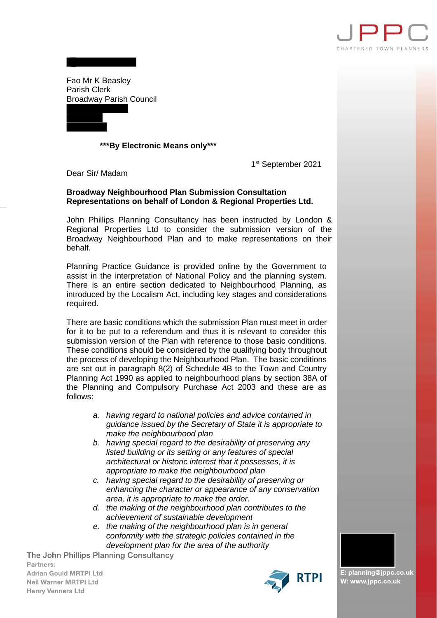

Fao Mr K Beasley Parish Clerk Broadway Parish Council

## **\*\*\*By Electronic Means only\*\*\***

1st September 2021

Dear Sir/ Madam

## **Broadway Neighbourhood Plan Submission Consultation Representations on behalf of London & Regional Properties Ltd.**

John Phillips Planning Consultancy has been instructed by London & Regional Properties Ltd to consider the submission version of the Broadway Neighbourhood Plan and to make representations on their behalf.

Planning Practice Guidance is provided online by the Government to assist in the interpretation of National Policy and the planning system. There is an entire section dedicated to Neighbourhood Planning, as introduced by the Localism Act, including key stages and considerations required.

There are basic conditions which the submission Plan must meet in order for it to be put to a referendum and thus it is relevant to consider this submission version of the Plan with reference to those basic conditions. These conditions should be considered by the qualifying body throughout the process of developing the Neighbourhood Plan. The basic conditions are set out in paragraph 8(2) of Schedule 4B to the Town and Country Planning Act 1990 as applied to neighbourhood plans by section 38A of the Planning and Compulsory Purchase Act 2003 and these are as follows:

- *a. having regard to national policies and advice contained in guidance issued by the Secretary of State it is appropriate to make the neighbourhood plan*
- *b. having special regard to the desirability of preserving any listed building or its setting or any features of special architectural or historic interest that it possesses, it is appropriate to make the neighbourhood plan*
- *c. having special regard to the desirability of preserving or enhancing the character or appearance of any conservation area, it is appropriate to make the order.*
- *d. the making of the neighbourhood plan contributes to the achievement of sustainable development*
- *e. the making of the neighbourhood plan is in general conformity with the strategic policies contained in the development plan for the area of the authority*

The John Phillips Planning Consultancy Partners: **Adrian Gould MRTPI Ltd Neil Warner MRTPI Ltd Henry Venners Ltd** 



E: planning@jppc.co.uk W: www.jppc.co.uk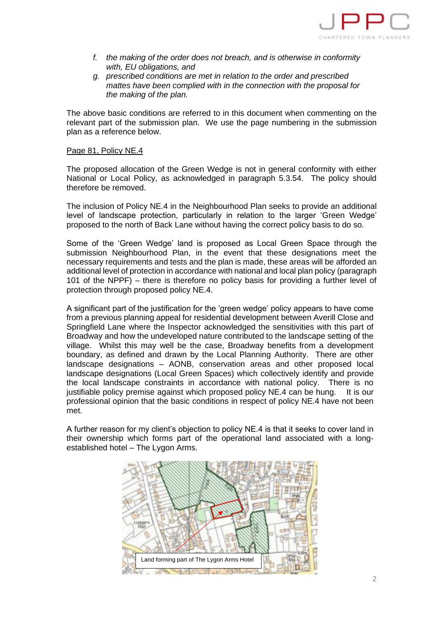

- *f. the making of the order does not breach, and is otherwise in conformity with, EU obligations, and*
- *g. prescribed conditions are met in relation to the order and prescribed mattes have been complied with in the connection with the proposal for the making of the plan.*

The above basic conditions are referred to in this document when commenting on the relevant part of the submission plan. We use the page numbering in the submission plan as a reference below.

## Page 81, Policy NE.4

The proposed allocation of the Green Wedge is not in general conformity with either National or Local Policy, as acknowledged in paragraph 5.3.54. The policy should therefore be removed.

The inclusion of Policy NE.4 in the Neighbourhood Plan seeks to provide an additional level of landscape protection, particularly in relation to the larger 'Green Wedge' proposed to the north of Back Lane without having the correct policy basis to do so.

Some of the 'Green Wedge' land is proposed as Local Green Space through the submission Neighbourhood Plan, in the event that these designations meet the necessary requirements and tests and the plan is made, these areas will be afforded an additional level of protection in accordance with national and local plan policy (paragraph 101 of the NPPF) – there is therefore no policy basis for providing a further level of protection through proposed policy NE.4.

A significant part of the justification for the 'green wedge' policy appears to have come from a previous planning appeal for residential development between Averill Close and Springfield Lane where the Inspector acknowledged the sensitivities with this part of Broadway and how the undeveloped nature contributed to the landscape setting of the village. Whilst this may well be the case, Broadway benefits from a development boundary, as defined and drawn by the Local Planning Authority. There are other landscape designations – AONB, conservation areas and other proposed local landscape designations (Local Green Spaces) which collectively identify and provide the local landscape constraints in accordance with national policy. There is no justifiable policy premise against which proposed policy NE.4 can be hung. It is our professional opinion that the basic conditions in respect of policy NE.4 have not been met.

A further reason for my client's objection to policy NE.4 is that it seeks to cover land in their ownership which forms part of the operational land associated with a longestablished hotel – The Lygon Arms.